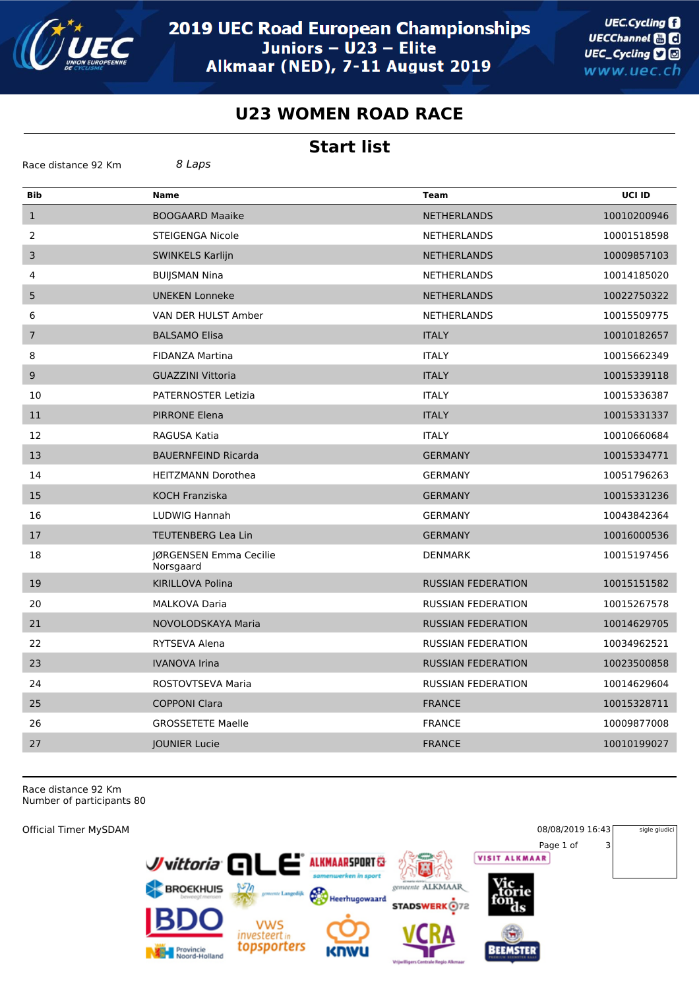

**UEC.Cycling** UECChannel **and** UEC\_Cycling **D** www.uec.ch

## **U23 WOMEN ROAD RACE**

## **Start list**

| <b>Bib</b>       | <b>Name</b>                         | <b>Team</b>               | <b>UCI ID</b> |
|------------------|-------------------------------------|---------------------------|---------------|
| $\mathbf{1}$     | <b>BOOGAARD Maaike</b>              | <b>NETHERLANDS</b>        | 10010200946   |
| 2                | STEIGENGA Nicole                    | NETHERLANDS               | 10001518598   |
| 3                | <b>SWINKELS Karlijn</b>             | <b>NETHERLANDS</b>        | 10009857103   |
| 4                | <b>BUIJSMAN Nina</b>                | <b>NETHERLANDS</b>        | 10014185020   |
| 5                | <b>UNEKEN Lonneke</b>               | <b>NETHERLANDS</b>        | 10022750322   |
| 6                | VAN DER HULST Amber                 | <b>NETHERLANDS</b>        | 10015509775   |
| $\boldsymbol{7}$ | <b>BALSAMO Elisa</b>                | <b>ITALY</b>              | 10010182657   |
| 8                | <b>FIDANZA Martina</b>              | <b>ITALY</b>              | 10015662349   |
| 9                | <b>GUAZZINI Vittoria</b>            | <b>ITALY</b>              | 10015339118   |
| 10               | <b>PATERNOSTER Letizia</b>          | <b>ITALY</b>              | 10015336387   |
| 11               | <b>PIRRONE Elena</b>                | <b>ITALY</b>              | 10015331337   |
| 12               | RAGUSA Katia                        | <b>ITALY</b>              | 10010660684   |
| 13               | <b>BAUERNFEIND Ricarda</b>          | <b>GERMANY</b>            | 10015334771   |
| 14               | <b>HEITZMANN Dorothea</b>           | <b>GERMANY</b>            | 10051796263   |
| 15               | <b>KOCH Franziska</b>               | <b>GERMANY</b>            | 10015331236   |
| 16               | LUDWIG Hannah                       | <b>GERMANY</b>            | 10043842364   |
| 17               | <b>TEUTENBERG Lea Lin</b>           | <b>GERMANY</b>            | 10016000536   |
| 18               | JØRGENSEN Emma Cecilie<br>Norsgaard | <b>DENMARK</b>            | 10015197456   |
| 19               | KIRILLOVA Polina                    | <b>RUSSIAN FEDERATION</b> | 10015151582   |
| 20               | <b>MALKOVA Daria</b>                | <b>RUSSIAN FEDERATION</b> | 10015267578   |
| 21               | NOVOLODSKAYA Maria                  | <b>RUSSIAN FEDERATION</b> | 10014629705   |
| 22               | RYTSEVA Alena                       | <b>RUSSIAN FEDERATION</b> | 10034962521   |
| 23               | <b>IVANOVA Irina</b>                | <b>RUSSIAN FEDERATION</b> | 10023500858   |
| 24               | ROSTOVTSEVA Maria                   | <b>RUSSIAN FEDERATION</b> | 10014629604   |
| 25               | <b>COPPONI Clara</b>                | <b>FRANCE</b>             | 10015328711   |
| 26               | <b>GROSSETETE Maelle</b>            | <b>FRANCE</b>             | 10009877008   |
| 27               | <b>JOUNIER Lucie</b>                | <b>FRANCE</b>             | 10010199027   |
|                  |                                     |                           |               |

Race distance 92 Km Number of participants 80

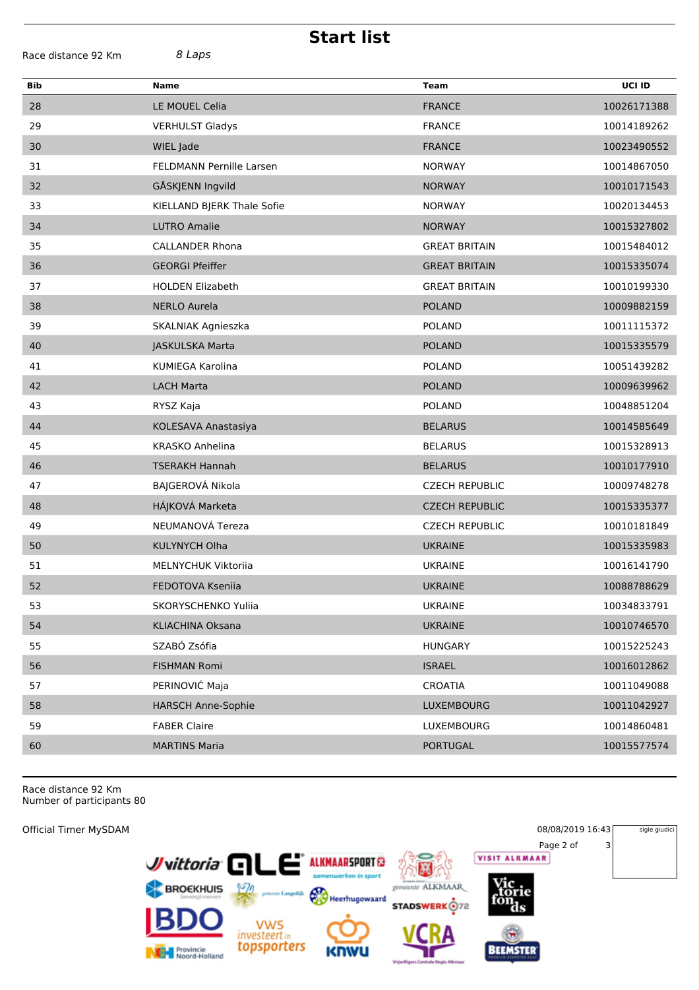| <b>Start list</b>             |                            |                       |             |  |  |  |  |
|-------------------------------|----------------------------|-----------------------|-------------|--|--|--|--|
| 8 Laps<br>Race distance 92 Km |                            |                       |             |  |  |  |  |
| Bib                           | <b>Name</b>                | <b>Team</b>           | UCI ID      |  |  |  |  |
| 28                            | LE MOUEL Celia             | <b>FRANCE</b>         | 10026171388 |  |  |  |  |
| 29                            | <b>VERHULST Gladys</b>     | <b>FRANCE</b>         | 10014189262 |  |  |  |  |
| 30                            | WIEL Jade                  | <b>FRANCE</b>         | 10023490552 |  |  |  |  |
| 31                            | FELDMANN Pernille Larsen   | <b>NORWAY</b>         | 10014867050 |  |  |  |  |
| 32                            | GÅSKJENN Ingvild           | <b>NORWAY</b>         | 10010171543 |  |  |  |  |
| 33                            | KIELLAND BJERK Thale Sofie | <b>NORWAY</b>         | 10020134453 |  |  |  |  |
| 34                            | <b>LUTRO Amalie</b>        | <b>NORWAY</b>         | 10015327802 |  |  |  |  |
| 35                            | <b>CALLANDER Rhona</b>     | <b>GREAT BRITAIN</b>  | 10015484012 |  |  |  |  |
| 36                            | <b>GEORGI Pfeiffer</b>     | <b>GREAT BRITAIN</b>  | 10015335074 |  |  |  |  |
| 37                            | <b>HOLDEN Elizabeth</b>    | <b>GREAT BRITAIN</b>  | 10010199330 |  |  |  |  |
| 38                            | <b>NERLO Aurela</b>        | <b>POLAND</b>         | 10009882159 |  |  |  |  |
| 39                            | SKALNIAK Agnieszka         | <b>POLAND</b>         | 10011115372 |  |  |  |  |
| 40                            | JASKULSKA Marta            | <b>POLAND</b>         | 10015335579 |  |  |  |  |
| 41                            | <b>KUMIEGA Karolina</b>    | <b>POLAND</b>         | 10051439282 |  |  |  |  |
| 42                            | <b>LACH Marta</b>          | <b>POLAND</b>         | 10009639962 |  |  |  |  |
| 43                            | RYSZ Kaja                  | <b>POLAND</b>         | 10048851204 |  |  |  |  |
| 44                            | KOLESAVA Anastasiya        | <b>BELARUS</b>        | 10014585649 |  |  |  |  |
| 45                            | KRASKO Anhelina            | <b>BELARUS</b>        | 10015328913 |  |  |  |  |
| 46                            | <b>TSERAKH Hannah</b>      | <b>BELARUS</b>        | 10010177910 |  |  |  |  |
| 47                            | BAJGEROVÁ Nikola           | <b>CZECH REPUBLIC</b> | 10009748278 |  |  |  |  |
| 48                            | HÁJKOVÁ Marketa            | <b>CZECH REPUBLIC</b> | 10015335377 |  |  |  |  |
| 49                            | NEUMANOVÁ Tereza           | <b>CZECH REPUBLIC</b> | 10010181849 |  |  |  |  |
| 50                            | <b>KULYNYCH Olha</b>       | <b>UKRAINE</b>        | 10015335983 |  |  |  |  |
| 51                            | <b>MELNYCHUK Viktoriia</b> | <b>UKRAINE</b>        | 10016141790 |  |  |  |  |
| 52                            | FEDOTOVA Kseniia           | <b>UKRAINE</b>        | 10088788629 |  |  |  |  |
| 53                            | SKORYSCHENKO Yuliia        | <b>UKRAINE</b>        | 10034833791 |  |  |  |  |
| 54                            | KLIACHINA Oksana           | <b>UKRAINE</b>        | 10010746570 |  |  |  |  |
| 55                            | SZABÓ Zsófia               | <b>HUNGARY</b>        | 10015225243 |  |  |  |  |
| 56                            | FISHMAN Romi               | <b>ISRAEL</b>         | 10016012862 |  |  |  |  |
| 57                            | PERINOVIĆ Maja             | <b>CROATIA</b>        | 10011049088 |  |  |  |  |
| 58                            | <b>HARSCH Anne-Sophie</b>  | LUXEMBOURG            | 10011042927 |  |  |  |  |
| 59                            | <b>FABER Claire</b>        | LUXEMBOURG            | 10014860481 |  |  |  |  |
| 60                            | <b>MARTINS Maria</b>       | <b>PORTUGAL</b>       | 10015577574 |  |  |  |  |
|                               |                            |                       |             |  |  |  |  |

Race distance 92 Km Number of participants 80

Official Timer MySDAM 08/08/2019 16:43 sigle giudici Page 2 of 3<br>**VISIT ALKMAAR** ک است. Juittoria<sup>C</sup> **ALKMAARSPORT**  $\mathbf{E}^{\mathcal{E}}$ F BROEKHUIS 學 gemeente ALKMAAR Heerhugowaard **STADSWERK**<sup>172</sup> VWS<br>investeert in<br>**topsporters BEEMSTER** Provincie<br>Noord-Holland **KNW**